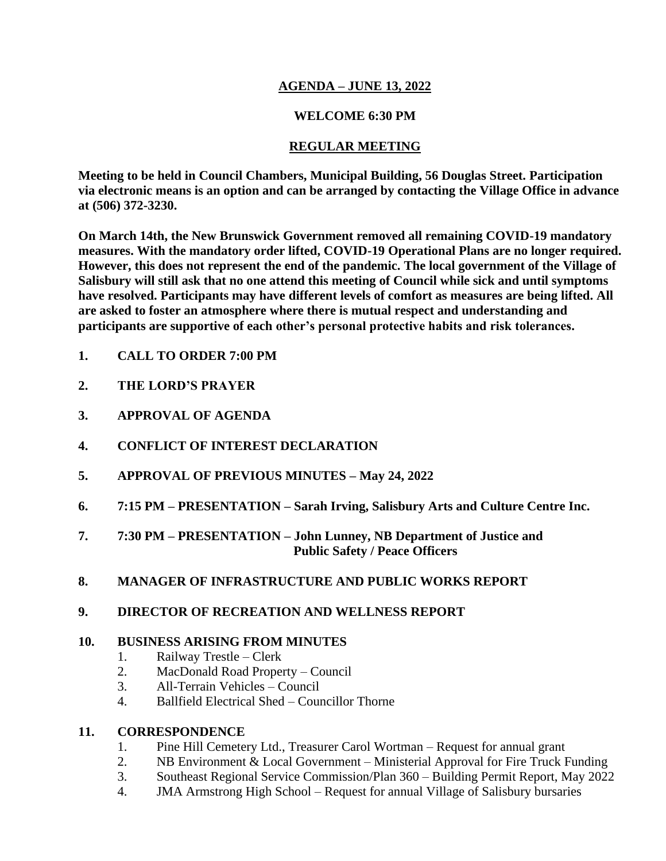### **AGENDA – JUNE 13, 2022**

## **WELCOME 6:30 PM**

## **REGULAR MEETING**

**Meeting to be held in Council Chambers, Municipal Building, 56 Douglas Street. Participation via electronic means is an option and can be arranged by contacting the Village Office in advance at (506) 372-3230.**

**On March 14th, the New Brunswick Government removed all remaining COVID-19 mandatory measures. With the mandatory order lifted, COVID-19 Operational Plans are no longer required. However, this does not represent the end of the pandemic. The local government of the Village of Salisbury will still ask that no one attend this meeting of Council while sick and until symptoms have resolved. Participants may have different levels of comfort as measures are being lifted. All are asked to foster an atmosphere where there is mutual respect and understanding and participants are supportive of each other's personal protective habits and risk tolerances.**

- **1. CALL TO ORDER 7:00 PM**
- **2. THE LORD'S PRAYER**
- **3. APPROVAL OF AGENDA**
- **4. CONFLICT OF INTEREST DECLARATION**
- **5. APPROVAL OF PREVIOUS MINUTES – May 24, 2022**
- **6. 7:15 PM – PRESENTATION – Sarah Irving, Salisbury Arts and Culture Centre Inc.**
- **7. 7:30 PM – PRESENTATION – John Lunney, NB Department of Justice and Public Safety / Peace Officers**
- **8. MANAGER OF INFRASTRUCTURE AND PUBLIC WORKS REPORT**

### **9. DIRECTOR OF RECREATION AND WELLNESS REPORT**

## **10. BUSINESS ARISING FROM MINUTES**

- 1. Railway Trestle Clerk
- 2. MacDonald Road Property Council
- 3. All-Terrain Vehicles Council
- 4. Ballfield Electrical Shed Councillor Thorne

### **11. CORRESPONDENCE**

- 1. Pine Hill Cemetery Ltd., Treasurer Carol Wortman Request for annual grant
- 2. NB Environment & Local Government Ministerial Approval for Fire Truck Funding
- 3. Southeast Regional Service Commission/Plan 360 Building Permit Report, May 2022
- 4. JMA Armstrong High School Request for annual Village of Salisbury bursaries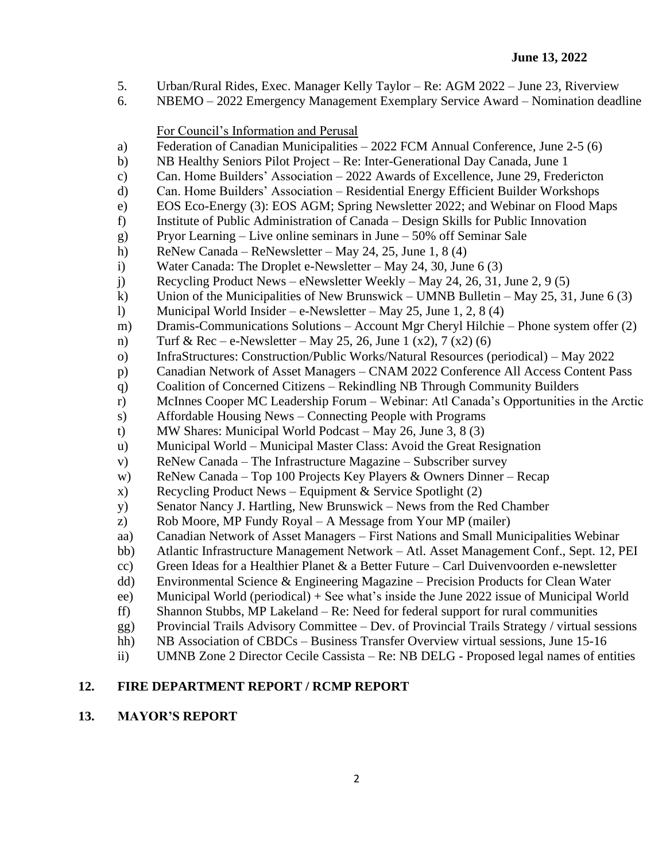- 5. Urban/Rural Rides, Exec. Manager Kelly Taylor Re: AGM 2022 June 23, Riverview
- 6. NBEMO 2022 Emergency Management Exemplary Service Award Nomination deadline

#### For Council's Information and Perusal

- a) Federation of Canadian Municipalities 2022 FCM Annual Conference, June 2-5 (6)
- b) NB Healthy Seniors Pilot Project Re: Inter-Generational Day Canada, June 1
- c) Can. Home Builders' Association 2022 Awards of Excellence, June 29, Fredericton
- d) Can. Home Builders' Association Residential Energy Efficient Builder Workshops
- e) EOS Eco-Energy (3): EOS AGM; Spring Newsletter 2022; and Webinar on Flood Maps
- f) Institute of Public Administration of Canada Design Skills for Public Innovation
- g) Pryor Learning Live online seminars in June 50% off Seminar Sale
- h) ReNew Canada ReNewsletter May 24, 25, June 1, 8 (4)
- i) Water Canada: The Droplet e-Newsletter May 24, 30, June 6 (3)
- j) Recycling Product News eNewsletter Weekly May 24, 26, 31, June 2, 9 (5)
- k) Union of the Municipalities of New Brunswick UMNB Bulletin May 25, 31, June 6 (3)
- l) Municipal World Insider e-Newsletter May 25, June 1, 2, 8 (4)
- m) Dramis-Communications Solutions Account Mgr Cheryl Hilchie Phone system offer (2)
- n) Turf & Rec e-Newsletter May 25, 26, June 1 (x2), 7 (x2) (6)
- o) InfraStructures: Construction/Public Works/Natural Resources (periodical) May 2022
- p) Canadian Network of Asset Managers CNAM 2022 Conference All Access Content Pass
- q) Coalition of Concerned Citizens Rekindling NB Through Community Builders
- r) McInnes Cooper MC Leadership Forum Webinar: Atl Canada's Opportunities in the Arctic
- s) Affordable Housing News Connecting People with Programs
- t) MW Shares: Municipal World Podcast May 26, June 3, 8 (3)
- u) Municipal World Municipal Master Class: Avoid the Great Resignation
- v) ReNew Canada The Infrastructure Magazine Subscriber survey
- w) ReNew Canada Top 100 Projects Key Players & Owners Dinner Recap
- x) Recycling Product News Equipment & Service Spotlight  $(2)$
- y) Senator Nancy J. Hartling, New Brunswick News from the Red Chamber
- z) Rob Moore, MP Fundy Royal A Message from Your MP (mailer)
- aa) Canadian Network of Asset Managers First Nations and Small Municipalities Webinar
- bb) Atlantic Infrastructure Management Network Atl. Asset Management Conf., Sept. 12, PEI
- cc) Green Ideas for a Healthier Planet  $\&$  a Better Future Carl Duivenvoorden e-newsletter
- dd) Environmental Science & Engineering Magazine Precision Products for Clean Water
- ee) Municipal World (periodical) + See what's inside the June 2022 issue of Municipal World
- ff) Shannon Stubbs, MP Lakeland Re: Need for federal support for rural communities
- gg) Provincial Trails Advisory Committee Dev. of Provincial Trails Strategy / virtual sessions
- hh) NB Association of CBDCs Business Transfer Overview virtual sessions, June 15-16
- ii) UMNB Zone 2 Director Cecile Cassista Re: NB DELG Proposed legal names of entities

# **12. FIRE DEPARTMENT REPORT / RCMP REPORT**

## **13. MAYOR'S REPORT**